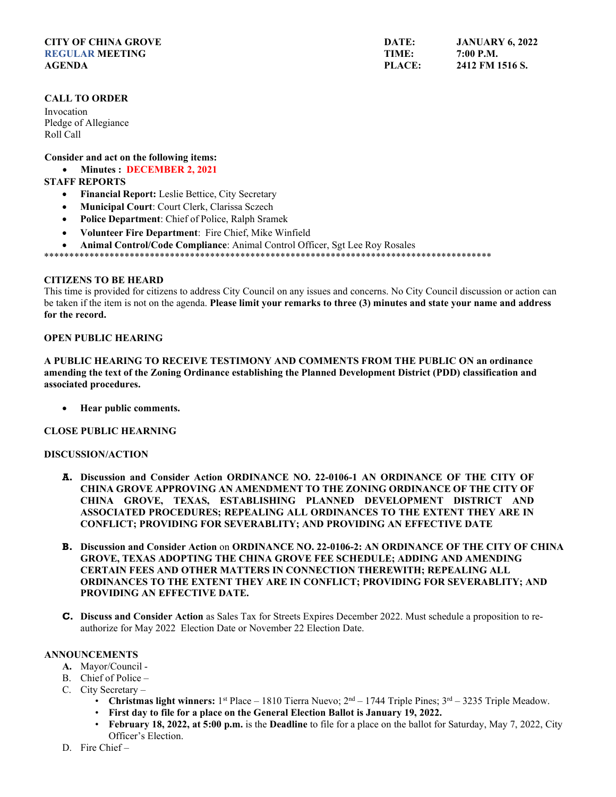## **CITY OF CHINA GROVE REGULAR MEETING AGENDA**

# **CALL TO ORDER**

Invocation Pledge of Allegiance Roll Call

**Consider and act on the following items:**

• **Minutes : DECEMBER 2, 2021**

# **STAFF REPORTS**

- **Financial Report:** Leslie Bettice, City Secretary
- **Municipal Court**: Court Clerk, Clarissa Sczech
- **Police Department**: Chief of Police, Ralph Sramek
- **Volunteer Fire Department**: Fire Chief, Mike Winfield
- **Animal Control/Code Compliance**: Animal Control Officer, Sgt Lee Roy Rosales

\*\*\*\*\*\*\*\*\*\*\*\*\*\*\*\*\*\*\*\*\*\*\*\*\*\*\*\*\*\*\*\*\*\*\*\*\*\*\*\*\*\*\*\*\*\*\*\*\*\*\*\*\*\*\*\*\*\*\*\*\*\*\*\*\*\*\*\*\*\*\*\*\*\*\*\*\*\*\*\*\*\*\*\*\*\*\*\*\*

## **CITIZENS TO BE HEARD**

This time is provided for citizens to address City Council on any issues and concerns. No City Council discussion or action can be taken if the item is not on the agenda. **Please limit your remarks to three (3) minutes and state your name and address for the record.**

# **OPEN PUBLIC HEARING**

**A PUBLIC HEARING TO RECEIVE TESTIMONY AND COMMENTS FROM THE PUBLIC ON an ordinance amending the text of the Zoning Ordinance establishing the Planned Development District (PDD) classification and associated procedures.** 

• **Hear public comments.**

# **CLOSE PUBLIC HEARNING**

#### **DISCUSSION/ACTION**

- **A. Discussion and Consider Action ORDINANCE NO. 22-0106-1 AN ORDINANCE OF THE CITY OF CHINA GROVE APPROVING AN AMENDMENT TO THE ZONING ORDINANCE OF THE CITY OF CHINA GROVE, TEXAS, ESTABLISHING PLANNED DEVELOPMENT DISTRICT AND ASSOCIATED PROCEDURES; REPEALING ALL ORDINANCES TO THE EXTENT THEY ARE IN CONFLICT; PROVIDING FOR SEVERABLITY; AND PROVIDING AN EFFECTIVE DATE**
- **B. Discussion and Consider Action** on **ORDINANCE NO. 22-0106-2: AN ORDINANCE OF THE CITY OF CHINA GROVE, TEXAS ADOPTING THE CHINA GROVE FEE SCHEDULE; ADDING AND AMENDING CERTAIN FEES AND OTHER MATTERS IN CONNECTION THEREWITH; REPEALING ALL ORDINANCES TO THE EXTENT THEY ARE IN CONFLICT; PROVIDING FOR SEVERABLITY; AND PROVIDING AN EFFECTIVE DATE.**
- **C. Discuss and Consider Action** as Sales Tax for Streets Expires December 2022. Must schedule a proposition to reauthorize for May 2022 Election Date or November 22 Election Date.

#### **ANNOUNCEMENTS**

- **A.** Mayor/Council -
- B. Chief of Police –
- C. City Secretary
	- **Christmas light winners:**  $1^{st}$  Place 1810 Tierra Nuevo;  $2^{nd}$  1744 Triple Pines;  $3^{rd}$  3235 Triple Meadow.
	- **First day to file for a place on the General Election Ballot is January 19, 2022.**
	- **February 18, 2022, at 5:00 p.m.** is the **Deadline** to file for a place on the ballot for Saturday, May 7, 2022, City Officer's Election.
- D. Fire Chief –